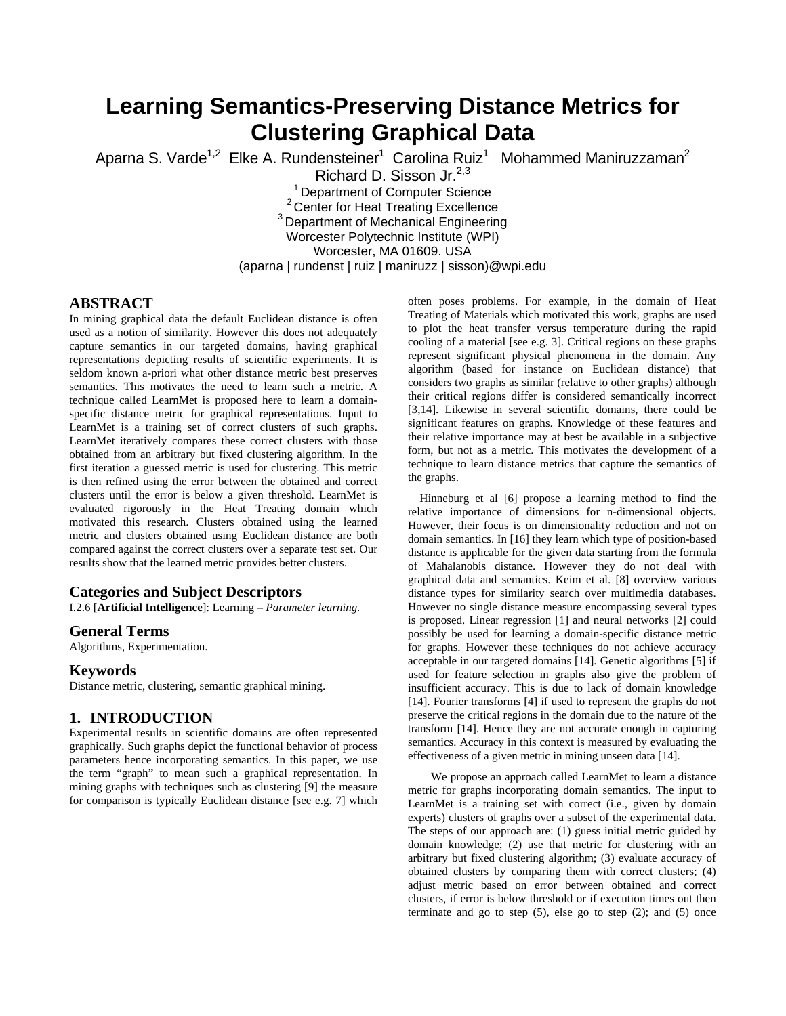# **Learning Semantics-Preserving Distance Metrics for Clustering Graphical Data**

Aparna S. Varde<sup>1,2</sup> Elke A. Rundensteiner<sup>1</sup> Carolina Ruiz<sup>1</sup> Mohammed Maniruzzaman<sup>2</sup>

Richard D. Sisson Jr.<sup>2,3</sup><br><sup>1</sup> Department of Computer Science

 $3<sup>2</sup>$  Center for Heat Treating Excellence  $3$  Department of Mechanical Engineering

Worcester Polytechnic Institute (WPI)

Worcester, MA 01609. USA

(aparna | rundenst | ruiz | maniruzz | sisson)@wpi.edu

# **ABSTRACT**

In mining graphical data the default Euclidean distance is often used as a notion of similarity. However this does not adequately capture semantics in our targeted domains, having graphical representations depicting results of scientific experiments. It is seldom known a-priori what other distance metric best preserves semantics. This motivates the need to learn such a metric. A technique called LearnMet is proposed here to learn a domainspecific distance metric for graphical representations. Input to LearnMet is a training set of correct clusters of such graphs. LearnMet iteratively compares these correct clusters with those obtained from an arbitrary but fixed clustering algorithm. In the first iteration a guessed metric is used for clustering. This metric is then refined using the error between the obtained and correct clusters until the error is below a given threshold. LearnMet is evaluated rigorously in the Heat Treating domain which motivated this research. Clusters obtained using the learned metric and clusters obtained using Euclidean distance are both compared against the correct clusters over a separate test set. Our results show that the learned metric provides better clusters.

# **Categories and Subject Descriptors**

I.2.6 [**Artificial Intelligence**]: Learning – *Parameter learning.* 

# **General Terms**

Algorithms, Experimentation.

# **Keywords**

Distance metric, clustering, semantic graphical mining.

# **1. INTRODUCTION**

Experimental results in scientific domains are often represented graphically. Such graphs depict the functional behavior of process parameters hence incorporating semantics. In this paper, we use the term "graph" to mean such a graphical representation. In mining graphs with techniques such as clustering [9] the measure for comparison is typically Euclidean distance [see e.g. 7] which

often poses problems. For example, in the domain of Heat Treating of Materials which motivated this work, graphs are used to plot the heat transfer versus temperature during the rapid cooling of a material [see e.g. 3]. Critical regions on these graphs represent significant physical phenomena in the domain. Any algorithm (based for instance on Euclidean distance) that considers two graphs as similar (relative to other graphs) although their critical regions differ is considered semantically incorrect [3,14]. Likewise in several scientific domains, there could be significant features on graphs. Knowledge of these features and their relative importance may at best be available in a subjective form, but not as a metric. This motivates the development of a technique to learn distance metrics that capture the semantics of the graphs.

Hinneburg et al [6] propose a learning method to find the relative importance of dimensions for n-dimensional objects. However, their focus is on dimensionality reduction and not on domain semantics. In [16] they learn which type of position-based distance is applicable for the given data starting from the formula of Mahalanobis distance. However they do not deal with graphical data and semantics. Keim et al. [8] overview various distance types for similarity search over multimedia databases. However no single distance measure encompassing several types is proposed. Linear regression [1] and neural networks [2] could possibly be used for learning a domain-specific distance metric for graphs. However these techniques do not achieve accuracy acceptable in our targeted domains [14]. Genetic algorithms [5] if used for feature selection in graphs also give the problem of insufficient accuracy. This is due to lack of domain knowledge [14]. Fourier transforms [4] if used to represent the graphs do not preserve the critical regions in the domain due to the nature of the transform [14]. Hence they are not accurate enough in capturing semantics. Accuracy in this context is measured by evaluating the effectiveness of a given metric in mining unseen data [14].

We propose an approach called LearnMet to learn a distance metric for graphs incorporating domain semantics. The input to LearnMet is a training set with correct (i.e., given by domain experts) clusters of graphs over a subset of the experimental data. The steps of our approach are: (1) guess initial metric guided by domain knowledge; (2) use that metric for clustering with an arbitrary but fixed clustering algorithm; (3) evaluate accuracy of obtained clusters by comparing them with correct clusters; (4) adjust metric based on error between obtained and correct clusters, if error is below threshold or if execution times out then terminate and go to step  $(5)$ , else go to step  $(2)$ ; and  $(5)$  once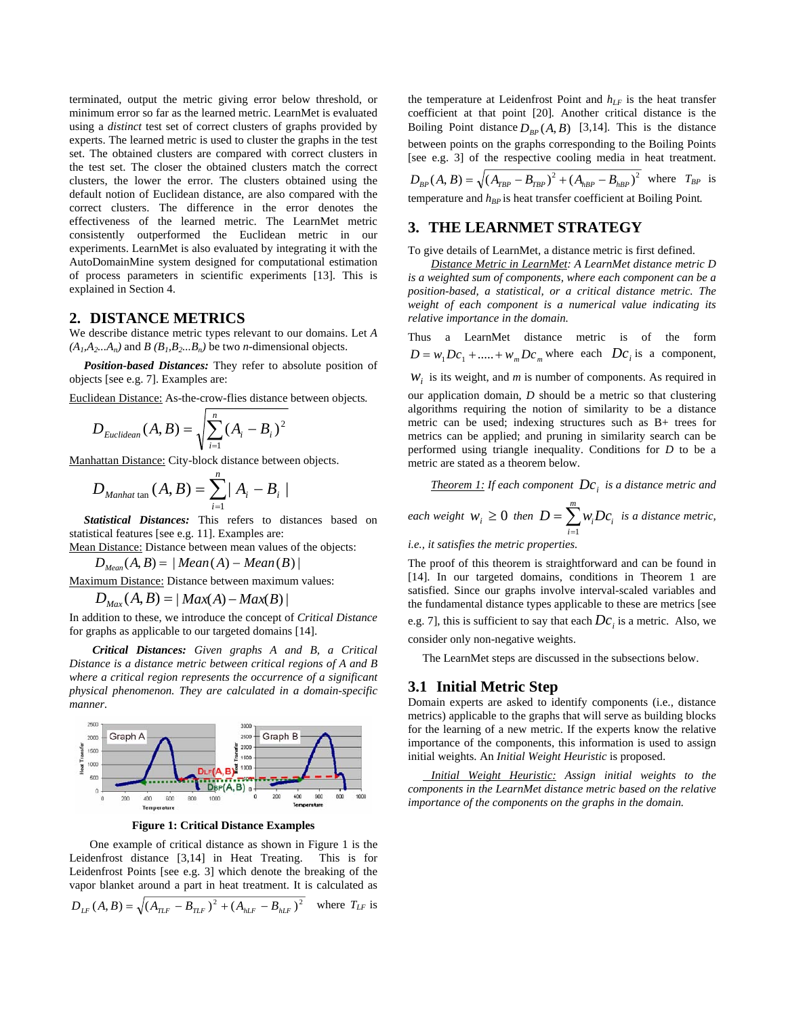terminated, output the metric giving error below threshold, or minimum error so far as the learned metric. LearnMet is evaluated using a *distinct* test set of correct clusters of graphs provided by experts. The learned metric is used to cluster the graphs in the test set. The obtained clusters are compared with correct clusters in the test set. The closer the obtained clusters match the correct clusters, the lower the error. The clusters obtained using the default notion of Euclidean distance, are also compared with the correct clusters. The difference in the error denotes the effectiveness of the learned metric. The LearnMet metric consistently outperformed the Euclidean metric in our experiments. LearnMet is also evaluated by integrating it with the AutoDomainMine system designed for computational estimation of process parameters in scientific experiments [13]. This is explained in Section 4.

### **2. DISTANCE METRICS**

We describe distance metric types relevant to our domains. Let *A*   $(A_1, A_2...A_n)$  and *B*  $(B_1, B_2...B_n)$  be two *n*-dimensional objects.

 *Position-based Distances:* They refer to absolute position of objects [see e.g. 7]. Examples are:

Euclidean Distance: As-the-crow-flies distance between objects*.* 

$$
D_{Euclidean}(A,B) = \sqrt{\sum_{i=1}^{n} (A_i - B_i)^2}
$$

Manhattan Distance: City-block distance between objects.

$$
D_{\text{Manhat tan}}(A, B) = \sum_{i=1}^{n} |A_i - B_i|
$$

*Statistical Distances:* This refers to distances based on statistical features [see e.g. 11]. Examples are:

Mean Distance: Distance between mean values of the objects:

 $D_{Mean}(A, B) = | Mean(A) - Mean(B) |$ 

Maximum Distance: Distance between maximum values:

 $D_{\text{Max}}(A, B) = | \text{Max}(A) - \text{Max}(B) |$ 

In addition to these, we introduce the concept of *Critical Distance* for graphs as applicable to our targeted domains [14].

*Critical Distances: Given graphs A and B, a Critical Distance is a distance metric between critical regions of A and B where a critical region represents the occurrence of a significant physical phenomenon. They are calculated in a domain-specific manner.* 



**Figure 1: Critical Distance Examples** 

 One example of critical distance as shown in Figure 1 is the Leidenfrost distance [3,14] in Heat Treating. This is for Leidenfrost Points [see e.g. 3] which denote the breaking of the vapor blanket around a part in heat treatment. It is calculated as

$$
D_{LF}(A, B) = \sqrt{(A_{TLF} - B_{TLF})^2 + (A_{hLF} - B_{hLF})^2}
$$
 where  $T_{LF}$  is

the temperature at Leidenfrost Point and  $h_{LF}$  is the heat transfer coefficient at that point [20]*.* Another critical distance is the Boiling Point distance  $D_{BP}(A, B)$  [3,14]. This is the distance between points on the graphs corresponding to the Boiling Points [see e.g. 3] of the respective cooling media in heat treatment.

 $D_{BP}(A, B) = \sqrt{(A_{TRP} - B_{TRP})^2 + (A_{hBP} - B_{hBP})^2}$  where  $T_{BP}$  is temperature and  $h_{BP}$  is heat transfer coefficient at Boiling Point.

### **3. THE LEARNMET STRATEGY**

To give details of LearnMet, a distance metric is first defined.

*Distance Metric in LearnMet: A LearnMet distance metric D is a weighted sum of components, where each component can be a position-based, a statistical, or a critical distance metric. The weight of each component is a numerical value indicating its relative importance in the domain.* 

Thus a LearnMet distance metric is of the form  $D = w_1 Dc_1 + \dots + w_m Dc_m$  where each  $Dc_i$  is a component,

 $W<sub>i</sub>$  is its weight, and *m* is number of components. As required in

our application domain, *D* should be a metric so that clustering algorithms requiring the notion of similarity to be a distance metric can be used; indexing structures such as B+ trees for metrics can be applied; and pruning in similarity search can be performed using triangle inequality. Conditions for *D* to be a metric are stated as a theorem below.

<u>*Theorem 1:</u> If each component*  $\mathit{Dc}_i$  *is a distance metric and</u> each weight*  $w_i \ge 0$  *then*  $D = \sum_{i=1}^{m} w_i Dc_i$  *is a distance metric, i.e., it satisfies the metric properties.*   $D = \sum_{i=1}^{n} w_i D c_i$ 

```
The proof of this theorem is straightforward and can be found in 
[14]. In our targeted domains, conditions in Theorem 1 are 
satisfied. Since our graphs involve interval-scaled variables and 
the fundamental distance types applicable to these are metrics [see 
e.g. 7], this is sufficient to say that each Dc_i is a metric. Also, we
consider only non-negative weights.
```
The LearnMet steps are discussed in the subsections below.

# **3.1 Initial Metric Step**

Domain experts are asked to identify components (i.e., distance metrics) applicable to the graphs that will serve as building blocks for the learning of a new metric. If the experts know the relative importance of the components, this information is used to assign initial weights. An *Initial Weight Heuristic* is proposed.

 *Initial Weight Heuristic: Assign initial weights to the components in the LearnMet distance metric based on the relative importance of the components on the graphs in the domain.*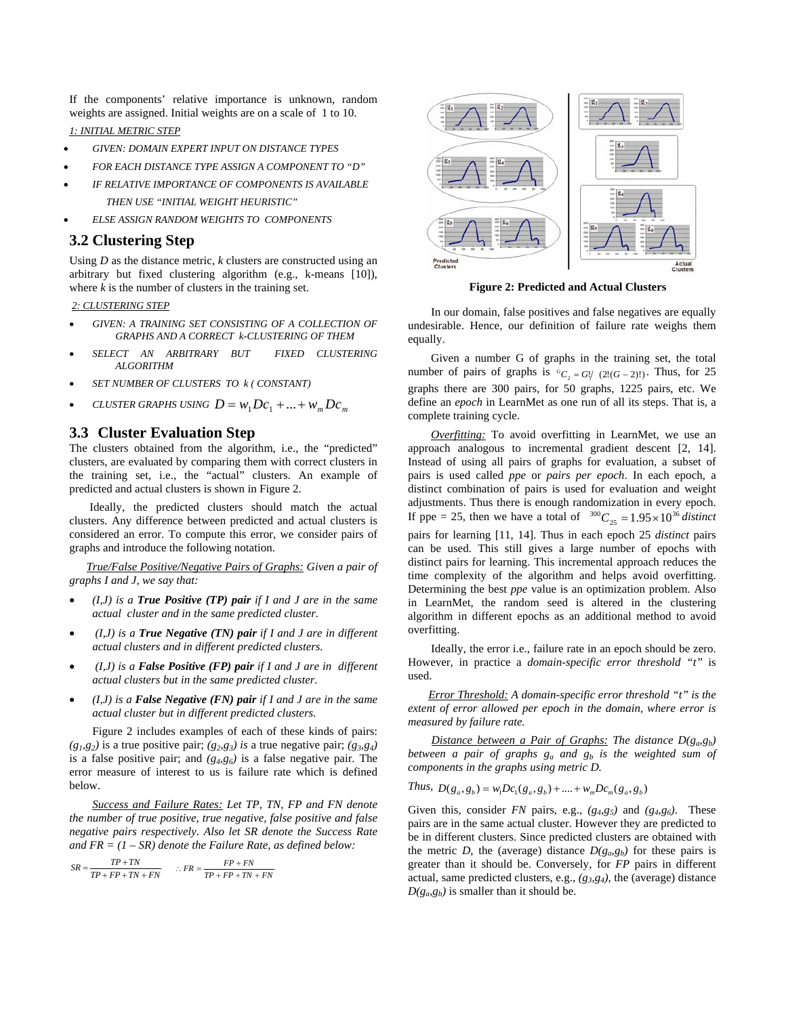If the components' relative importance is unknown, random weights are assigned. Initial weights are on a scale of 1 to 10.

*1: INITIAL METRIC STEP*

- *GIVEN: DOMAIN EXPERT INPUT ON DISTANCE TYPES*
- *FOR EACH DISTANCE TYPE ASSIGN A COMPONENT TO "D"*
- *IF RELATIVE IMPORTANCE OF COMPONENTS IS AVAILABLE THEN USE "INITIAL WEIGHT HEURISTIC"*
- *ELSE ASSIGN RANDOM WEIGHTS TO COMPONENTS*

# **3.2 Clustering Step**

Using *D* as the distance metric, *k* clusters are constructed using an arbitrary but fixed clustering algorithm (e.g., k-means [10]), where  $k$  is the number of clusters in the training set.

#### *2: CLUSTERING STEP*

- *GIVEN: A TRAINING SET CONSISTING OF A COLLECTION OF GRAPHS AND A CORRECT k-CLUSTERING OF THEM*
- *SELECT AN ARBITRARY BUT FIXED CLUSTERING ALGORITHM*
- *SET NUMBER OF CLUSTERS TO k ( CONSTANT)*
- *CLUSTER GRAPHS USING*  $D = w_1 Dc_1 + ... + w_m Dc_m$

### **3.3 Cluster Evaluation Step**

The clusters obtained from the algorithm, i.e., the "predicted" clusters, are evaluated by comparing them with correct clusters in the training set, i.e., the "actual" clusters. An example of predicted and actual clusters is shown in Figure 2.

Ideally, the predicted clusters should match the actual clusters. Any difference between predicted and actual clusters is considered an error. To compute this error, we consider pairs of graphs and introduce the following notation.

 *True/False Positive/Negative Pairs of Graphs: Given a pair of graphs I and J, we say that:* 

- *(I,J) is a True Positive (TP) pair if I and J are in the same actual cluster and in the same predicted cluster.*
- *(I,J) is a True Negative (TN) pair if I and J are in different actual clusters and in different predicted clusters.*
- *(I,J) is a False Positive (FP) pair if I and J are in different actual clusters but in the same predicted cluster.*
- *(I,J) is a False Negative (FN) pair if I and J are in the same actual cluster but in different predicted clusters.*

Figure 2 includes examples of each of these kinds of pairs:  $(g_1, g_2)$  is a true positive pair;  $(g_2, g_3)$  is a true negative pair;  $(g_3, g_4)$ is a false positive pair; and *(g4,g6)* is a false negative pair. The error measure of interest to us is failure rate which is defined below.

*Success and Failure Rates: Let TP, TN, FP and FN denote the number of true positive, true negative, false positive and false negative pairs respectively. Also let SR denote the Success Rate and FR = (1 – SR) denote the Failure Rate, as defined below:*

$$
SR = \frac{TP + TN}{TP + FP + TN + FN} \qquad \therefore FR = \frac{FP + FN}{TP + FP + TN + FN}
$$



**Figure 2: Predicted and Actual Clusters**

In our domain, false positives and false negatives are equally undesirable. Hence, our definition of failure rate weighs them equally.

Given a number G of graphs in the training set, the total number of pairs of graphs is  ${}^G C_2 = G / (2! (G - 2)!)$ . Thus, for 25 graphs there are 300 pairs, for 50 graphs, 1225 pairs, etc. We define an *epoch* in LearnMet as one run of all its steps. That is, a complete training cycle.

*Overfitting:* To avoid overfitting in LearnMet, we use an approach analogous to incremental gradient descent [2, 14]. Instead of using all pairs of graphs for evaluation, a subset of pairs is used called *ppe* or *pairs per epoch*. In each epoch, a distinct combination of pairs is used for evaluation and weight adjustments. Thus there is enough randomization in every epoch. If ppe = 25, then we have a total of  $^{300}C_{25} = 1.95 \times 10^{36}$  distinct pairs for learning [11, 14]. Thus in each epoch 25 *distinct* pairs can be used. This still gives a large number of epochs with distinct pairs for learning. This incremental approach reduces the time complexity of the algorithm and helps avoid overfitting. Determining the best *ppe* value is an optimization problem. Also in LearnMet, the random seed is altered in the clustering algorithm in different epochs as an additional method to avoid overfitting.

Ideally, the error i.e., failure rate in an epoch should be zero. However, in practice a *domain-specific error threshold "t"* is used.

 *Error Threshold: A domain-specific error threshold "t" is the extent of error allowed per epoch in the domain, where error is measured by failure rate.* 

*Distance between a Pair of Graphs: The distance D(g<sub>a</sub>,g<sub>b</sub>) between a pair of graphs*  $g_a$  *and*  $g_b$  *is the weighted sum of components in the graphs using metric D.* 

Thus, 
$$
D(g_a, g_b) = w_1 Dc_1(g_a, g_b) + \dots + w_m Dc_m(g_a, g_b)
$$

Given this, consider *FN* pairs, e.g.,  $(g_4, g_5)$  and  $(g_4, g_6)$ . These pairs are in the same actual cluster. However they are predicted to be in different clusters. Since predicted clusters are obtained with the metric *D*, the (average) distance  $D(g_a g_b)$  for these pairs is greater than it should be. Conversely, for *FP* pairs in different actual, same predicted clusters, e.g., *(g3,g4),* the (average) distance  $D(g_{\alpha}, g_{b})$  is smaller than it should be.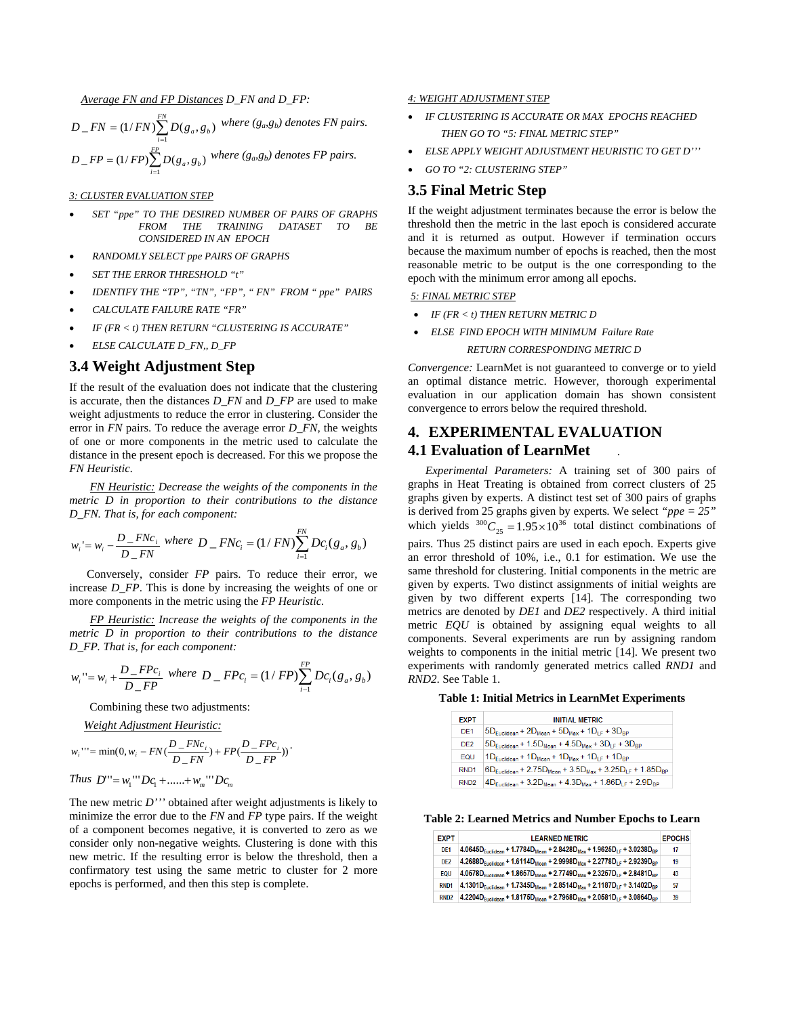*Average FN and FP Distances D\_FN and D\_FP:* 

 $=(1/FN)\sum_{i=1}^{FN}$  $D_F = \frac{F}{N} = \frac{1}{FN} \sum_{i=1}^{N} D(g_a, g_b)$  $_F = (1/FN) \sum_{i=0}^{N} D(g_a, g_b)$  where  $(g_a, g_b)$  denotes FN pairs.  $=(1/FP)\sum_{i=1}^{FP}$  $D$ <sub>*-FP*</sub> = (1/*FP*) $\sum_{i=1}^{r}$   $D(g_a, g_b)$  where (g<sub>a</sub>,g<sub>b</sub>) denotes FP pairs.

#### *3: CLUSTER EVALUATION STEP*

- *SET "ppe" TO THE DESIRED NUMBER OF PAIRS OF GRAPHS FROM THE TRAINING DATASET TO BE CONSIDERED IN AN EPOCH*
- *RANDOMLY SELECT ppe PAIRS OF GRAPHS*
- *SET THE ERROR THRESHOLD "t"*
- *IDENTIFY THE "TP", "TN", "FP", " FN" FROM " ppe" PAIRS*
- *CALCULATE FAILURE RATE "FR"*
- *IF (FR < t) THEN RETURN "CLUSTERING IS ACCURATE"*
- *ELSE CALCULATE D\_FN,, D\_FP*

# **3.4 Weight Adjustment Step**

If the result of the evaluation does not indicate that the clustering is accurate, then the distances *D\_FN* and *D\_FP* are used to make weight adjustments to reduce the error in clustering. Consider the error in *FN* pairs. To reduce the average error *D\_FN,* the weights of one or more components in the metric used to calculate the distance in the present epoch is decreased. For this we propose the *FN Heuristic.* 

 *FN Heuristic: Decrease the weights of the components in the metric D in proportion to their contributions to the distance D\_FN. That is, for each component:* 

$$
w_i = w_i - \frac{D_{F N c_i}}{D_{F N}} where D_{F N c_i} = (1/FN) \sum_{i=1}^{FN} D c_i (g_a, g_b)
$$

 Conversely, consider *FP* pairs. To reduce their error, we increase *D\_FP*. This is done by increasing the weights of one or more components in the metric using the *FP Heuristic.*

 *FP Heuristic: Increase the weights of the components in the metric D in proportion to their contributions to the distance D\_FP. That is, for each component:* 

$$
w_i
$$
''=  $w_i$  +  $\frac{D_{F}P_{c_i}}{D_{F}P}$  where  $D_{F}P_{c_i} = (1/FP)\sum_{i=1}^{FP} Dc_i(g_a, g_b)$ 

Combining these two adjustments:

*Weight Adjustment Heuristic:*

$$
w_i''' = \min(0, w_i - FN(\frac{D\_F N c_i}{D\_FN}) + FP(\frac{D\_F P c_i}{D\_FP}))
$$

Thus 
$$
D''' = w_1''' Dc_1 + \dots + w_m''' Dc_m
$$

The new metric *D'''* obtained after weight adjustments is likely to minimize the error due to the *FN* and *FP* type pairs. If the weight of a component becomes negative, it is converted to zero as we consider only non-negative weights*.* Clustering is done with this new metric. If the resulting error is below the threshold, then a confirmatory test using the same metric to cluster for 2 more epochs is performed, and then this step is complete.

#### *4: WEIGHT ADJUSTMENT STEP*

- *IF CLUSTERING IS ACCURATE OR MAX EPOCHS REACHED THEN GO TO "5: FINAL METRIC STEP"*
- *ELSE APPLY WEIGHT ADJUSTMENT HEURISTIC TO GET D'''*
- *GO TO "2: CLUSTERING STEP"*

### **3.5 Final Metric Step**

If the weight adjustment terminates because the error is below the threshold then the metric in the last epoch is considered accurate and it is returned as output. However if termination occurs because the maximum number of epochs is reached, then the most reasonable metric to be output is the one corresponding to the epoch with the minimum error among all epochs.

*5: FINAL METRIC STEP*

- *IF (FR < t) THEN RETURN METRIC D*
- *ELSE FIND EPOCH WITH MINIMUM Failure Rate*

### *RETURN CORRESPONDING METRIC D*

*Convergence:* LearnMet is not guaranteed to converge or to yield an optimal distance metric. However, thorough experimental evaluation in our application domain has shown consistent convergence to errors below the required threshold.

# **4. EXPERIMENTAL EVALUATION 4.1 Evaluation of LearnMet** .

 *Experimental Parameters:* A training set of 300 pairs of graphs in Heat Treating is obtained from correct clusters of 25 graphs given by experts. A distinct test set of 300 pairs of graphs is derived from 25 graphs given by experts*.* We select *"ppe = 25"* which yields  $^{300}C_{25} = 1.95 \times 10^{36}$  total distinct combinations of pairs. Thus 25 distinct pairs are used in each epoch. Experts give an error threshold of 10%, i.e., 0.1 for estimation. We use the same threshold for clustering. Initial components in the metric are given by experts. Two distinct assignments of initial weights are given by two different experts [14]. The corresponding two metrics are denoted by *DE1* and *DE2* respectively. A third initial metric *EQU* is obtained by assigning equal weights to all components. Several experiments are run by assigning random weights to components in the initial metric [14]. We present two experiments with randomly generated metrics called *RND1* and *RND2*. See Table 1.

| Table 1: Initial Metrics in LearnMet Experiments |  |  |
|--------------------------------------------------|--|--|
|--------------------------------------------------|--|--|

| <b>EXPT</b>      | <b>INITIAL METRIC</b>                                                                                   |
|------------------|---------------------------------------------------------------------------------------------------------|
| DF <sub>1</sub>  | $5D_{\text{Euclidean}} + 2D_{\text{Mean}} + 5D_{\text{Max}} + 1D_{\text{LF}} + 3D_{\text{BP}}$          |
| D <sub>E2</sub>  | $5D_{Euclidean} + 1.5D_{Mean} + 4.5D_{Max} + 3D_{LF} + 3D_{BP}$                                         |
| FOU              | $1D_{Euclidean} + 1D_{Mean} + 1D_{Max} + 1D_{LF} + 1D_{BP}$                                             |
| RND <sub>1</sub> | $6D_{\text{Fuclean}} + 2.75D_{\text{Mean}} + 3.5D_{\text{Max}} + 3.25D_{\text{IF}} + 1.85D_{\text{BP}}$ |
| RND <sub>2</sub> | $4D_{Euclidean} + 3.2D_{Mean} + 4.3D_{Max} + 1.86D_{LF} + 2.9D_{BP}$                                    |

**Table 2: Learned Metrics and Number Epochs to Learn** 

| <b>EXPT</b>      | <b>LEARNED METRIC</b>                                                                                                   | <b>EPOCHS</b> |
|------------------|-------------------------------------------------------------------------------------------------------------------------|---------------|
| DE <sub>1</sub>  | $4.0645D_{\text{Euclidean}} + 1.7784D_{\text{Mean}} + 2.8428D_{\text{Max}} + 1.9625D_{\text{LF}} + 3.0238D_{\text{BP}}$ | 17            |
| DE <sub>2</sub>  | $4.2688D_{\text{Euclidean}} + 1.6114D_{\text{Mean}} + 2.9998D_{\text{Max}} + 2.2778D_{\text{LF}} + 2.9239D_{\text{BP}}$ | 19            |
| EQU              | $4.0578D_{Euclidean} + 1.8657D_{Mean} + 2.7749D_{Max} + 2.3257D_{LE} + 2.8481D_{BP}$                                    | 43            |
| RND <sub>1</sub> | $4.1301D_{\text{Euclidean}} + 1.7345D_{\text{Mean}} + 2.8514D_{\text{Max}} + 2.1187D_{\text{LF}} + 3.1402D_{\text{BP}}$ | 57            |
| RND <sub>2</sub> | $4.2204D_{\text{Euclidean}} + 1.8175D_{\text{Mean}} + 2.7968D_{\text{Max}} + 2.0581D_{\text{IF}} + 3.0864D_{\text{BP}}$ | 39            |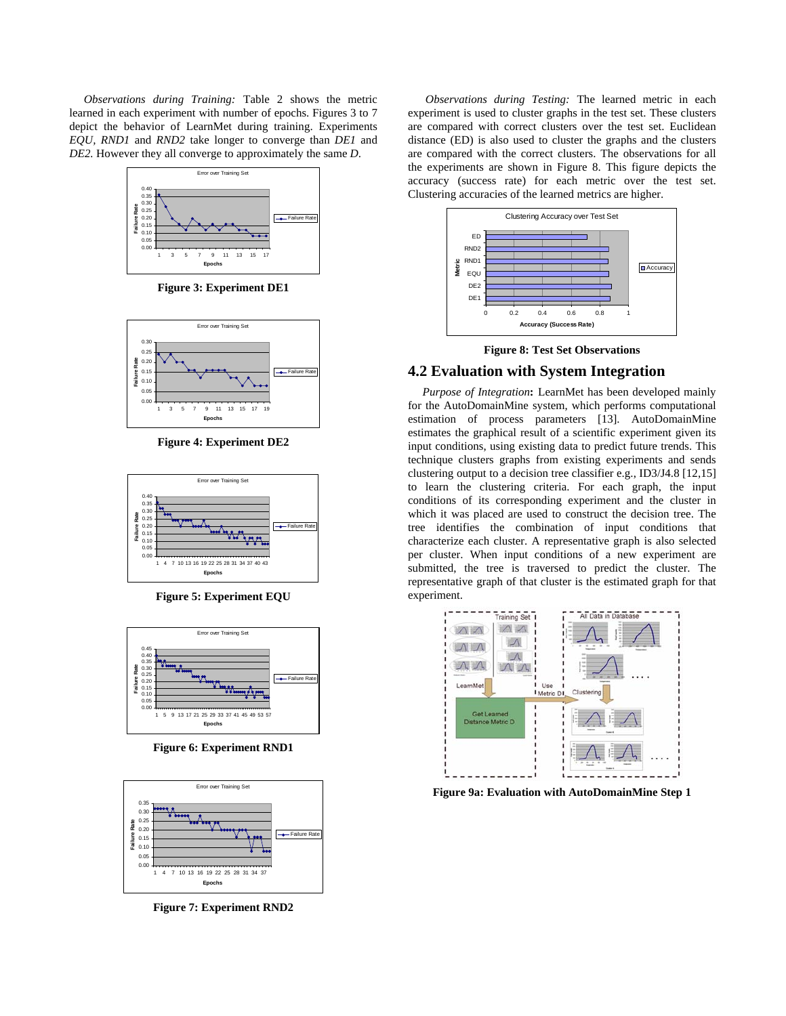*Observations during Training:* Table 2 shows the metric learned in each experiment with number of epochs. Figures 3 to 7 depict the behavior of LearnMet during training. Experiments *EQU, RND1* and *RND2* take longer to converge than *DE1* and *DE2.* However they all converge to approximately the same *D*.



**Figure 3: Experiment DE1** 



**Figure 4: Experiment DE2** 



**Figure 5: Experiment EQU** 



**Figure 6: Experiment RND1** 



**Figure 7: Experiment RND2** 

 *Observations during Testing:* The learned metric in each experiment is used to cluster graphs in the test set. These clusters are compared with correct clusters over the test set. Euclidean distance (ED) is also used to cluster the graphs and the clusters are compared with the correct clusters. The observations for all the experiments are shown in Figure 8. This figure depicts the accuracy (success rate) for each metric over the test set. Clustering accuracies of the learned metrics are higher.



**Figure 8: Test Set Observations** 

# **4.2 Evaluation with System Integration**

 *Purpose of Integration***:** LearnMet has been developed mainly for the AutoDomainMine system, which performs computational estimation of process parameters [13]. AutoDomainMine estimates the graphical result of a scientific experiment given its input conditions, using existing data to predict future trends. This technique clusters graphs from existing experiments and sends clustering output to a decision tree classifier e.g., ID3/J4.8 [12,15] to learn the clustering criteria. For each graph, the input conditions of its corresponding experiment and the cluster in which it was placed are used to construct the decision tree. The tree identifies the combination of input conditions that characterize each cluster. A representative graph is also selected per cluster. When input conditions of a new experiment are submitted, the tree is traversed to predict the cluster. The representative graph of that cluster is the estimated graph for that experiment.



**Figure 9a: Evaluation with AutoDomainMine Step 1**